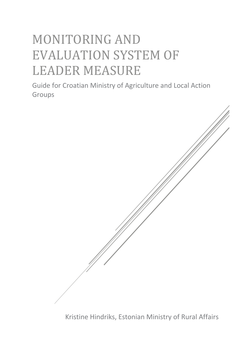# MONITORING AND EVALUATION SYSTEM OF LEADER MEASURE

Guide for Croatian Ministry of Agriculture and Local Action Groups



Kristine Hindriks, Estonian Ministry of Rural Affairs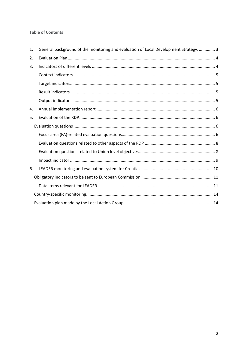#### **Table of Contents**

| 1. | General background of the monitoring and evaluation of Local Development Strategy.  3 |
|----|---------------------------------------------------------------------------------------|
| 2. |                                                                                       |
| 3. |                                                                                       |
|    |                                                                                       |
|    |                                                                                       |
|    |                                                                                       |
|    |                                                                                       |
| 4. |                                                                                       |
| 5. |                                                                                       |
|    |                                                                                       |
|    |                                                                                       |
|    |                                                                                       |
|    |                                                                                       |
|    |                                                                                       |
| 6. |                                                                                       |
|    |                                                                                       |
|    |                                                                                       |
|    |                                                                                       |
|    |                                                                                       |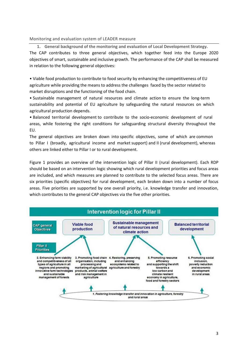#### Monitoring and evaluation system of LEADER measure

<span id="page-2-0"></span>**1. General background of the monitoring and evaluation of Local Development Strategy.** The CAP contributes to three general objectives, which together feed into the Europe 2020 objectives of smart, sustainable and inclusive growth. The performance of the CAP shall be measured in relation to the following general objectives:

• Viable food production to contribute to food security by enhancing the competitiveness of EU agriculture while providing the means to address the challenges faced by the sector related to market disruptions and the functioning of the food chain.

• Sustainable management of natural resources and climate action to ensure the long-term sustainability and potential of EU agriculture by safeguarding the natural resources on which agricultural production depends.

• Balanced territorial development to contribute to the socio-economic development of rural areas, while fostering the right conditions for safeguarding structural diversity throughout the EU.

The general objectives are broken down into specific objectives, some of which are common to Pillar I (broadly, agricultural income and market support) and II (rural development), whereas others are linked either to Pillar I or to rural development.

Figure 1 provides an overview of the intervention logic of Pillar II (rural development). Each RDP should be based on an intervention logic showing which rural development priorities and focus areas are included, and which measures are planned to contribute to the selected focus areas. There are six priorities (specific objectives) for rural development, each broken down into a number of focus areas. Five priorities are supported by one overall priority, i.e. knowledge transfer and innovation, which contributes to the general CAP objectives via the five other priorities.

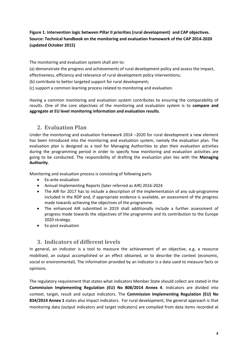# **Figure 1. Intervention logic between Pillar II priorities (rural development) and CAP objectives. Source: Technical handbook on the monitoring and evaluation framework of the CAP 2014-2020 (updated October 2015)**

The monitoring and evaluation system shall aim to:

(a) demonstrate the progress and achievements of rural development policy and assess the impact, effectiveness, efficiency and relevance of rural development policy interventions;

- (b) contribute to better targeted support for rural development;
- (c) support a common learning process related to monitoring and evaluation.

Having a common monitoring and evaluation system contributes to ensuring the comparability of results. One of the core objectives of the monitoring and evaluation system is to **compare and aggregate at EU level monitoring information and evaluation results**.

# <span id="page-3-0"></span>**2. Evaluation Plan**

Under the monitoring and evaluation framework 2014 –2020 for rural development a new element has been introduced into the monitoring and evaluation system, namely the evaluation plan. The evaluation plan is designed as a tool for Managing Authorities to plan their evaluation activities during the programming period in order to specify how monitoring and evaluation activities are going to be conducted. The responsibility of drafting the evaluation plan lies with the **Managing Authority**.

Monitoring and evaluation process is consisting of following parts

- Ex-ante evaluation
- Annual Implementing Reports (later referred as AIR) 2016-2024
- The AIR for 2017 has to include a description of the implementation of any sub-programme included in the RDP and, if appropriate evidence is available, an assessment of the progress made towards achieving the objectives of the programme.
- The enhanced AIR submitted in 2019 shall additionally include a further assessment of progress made towards the objectives of the programme and its contribution to the Europe 2020 strategy.
- <span id="page-3-1"></span>Ex-post evaluation

# **3. Indicators of different levels**

In general, an indicator is a tool to measure the achievement of an objective, e.g. a resource mobilised, an output accomplished or an effect obtained, or to describe the context (economic, social or environmental). The information provided by an indicator is a data used to measure facts or opinions.

The regulatory requirement that states what indicators Member State should collect are stated in the **Commission Implementing Regulation (EU) No 808/2014 Annex 4**. Indicators are divided into context, target, result and output indicators. The **Commission Implementing Regulation (EU) No 834/2014 Annex 1** states also impact indicators. For rural development, the general approach is that monitoring data (output indicators and target indicators) are compiled from data items recorded at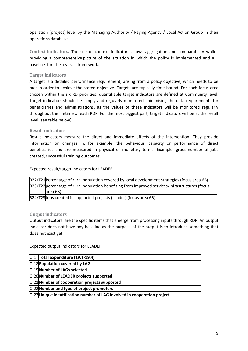operation (project) level by the Managing Authority / Paying Agency / Local Action Group in their operations database.

<span id="page-4-0"></span>**Context indicators.** The use of context indicators allows aggregation and comparability while providing a comprehensive picture of the situation in which the policy is implemented and a baseline for the overall framework.

#### <span id="page-4-1"></span>**Target indicators**

A target is a detailed performance requirement, arising from a policy objective, which needs to be met in order to achieve the stated objective. Targets are typically time-bound. For each focus area chosen within the six RD priorities, quantifiable target indicators are defined at Community level. Target indicators should be simply and regularly monitored, minimising the data requirements for beneficiaries and administrations, as the values of these indicators will be monitored regularly throughout the lifetime of each RDP. For the most biggest part, target indicators will be at the result level (see table below).

#### <span id="page-4-2"></span>**Result indicators**

Result indicators measure the direct and immediate effects of the intervention. They provide information on changes in, for example, the behaviour, capacity or performance of direct beneficiaries and are measured in physical or monetary terms. Example: gross number of jobs created, successful training outcomes.

Expected result/target indicators for LEADER

|                                                                                                 | R22/T21 Percentage of rural population covered by local development strategies (focus area 6B) |
|-------------------------------------------------------------------------------------------------|------------------------------------------------------------------------------------------------|
| R23/T22 percentage of rural population benefiting from improved services/infrastructures (focus |                                                                                                |
|                                                                                                 | area 6B)                                                                                       |
|                                                                                                 | R24/T23 Jobs created in supported projects (Leader) (focus area 6B)                            |

#### <span id="page-4-3"></span>**Output indicators**

Output indicators are the specific items that emerge from processing inputs through RDP. An output indicator does not have any baseline as the purpose of the output is to introduce something that does not exist yet.

Expected output indicators for LEADER

| $[0.1$ Total expenditure (19.1-19.4)                                     |
|--------------------------------------------------------------------------|
| <b>O.18 Population covered by LAG</b>                                    |
| 0.19 Number of LAGs selected                                             |
| O.20 Number of LEADER projects supported                                 |
| O.21 Number of cooperation projects supported                            |
| O.22 Number and type of project promoters                                |
| O.23 Unique identification number of LAG involved in cooperation project |
|                                                                          |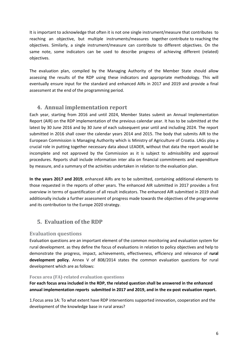It is important to acknowledge that often it is not one single instrument/measure that contributes to reaching an objective, but multiple instruments/measures together contribute to reaching the objectives. Similarly, a single instrument/measure can contribute to different objectives. On the same note, some indicators can be used to describe progress of achieving different (related) objectives.

The evaluation plan, compiled by the Managing Authority of the Member State should allow assessing the results of the RDP using these indicators and appropriate methodology. This will eventually ensure input for the standard and enhanced AIRs in 2017 and 2019 and provide a final assessment at the end of the programming period.

# <span id="page-5-0"></span>**4. Annual implementation report**

Each year, starting from 2016 and until 2024, Member States submit an Annual Implementation Report (AIR) on the RDP implementation of the previous calendar year. It has to be submitted at the latest by 30 June 2016 and by 30 June of each subsequent year until and including 2024. The report submitted in 2016 shall cover the calendar years 2014 and 2015. The body that submits AIR to the European Commission is Managing Authority which is Ministry of Agriculture of Croatia. LAGs play a crucial role in putting together necessary data about LEADER, without that data the report would be incomplete and not approved by the Commission as it is subject to admissibility and approval procedures. Reports shall include information inter alia on financial commitments and expenditure by measure, and a summary of the activities undertaken in relation to the evaluation plan.

**In the years 2017 and 2019**, enhanced AIRs are to be submitted, containing additional elements to those requested in the reports of other years. The enhanced AIR submitted in 2017 provides a first overview in terms of quantification of all result indicators. The enhanced AIR submitted in 2019 shall additionally include a further assessment of progress made towards the objectives of the programme and its contribution to the Europe 2020 strategy.

# <span id="page-5-1"></span>**5. Evaluation of the RDP**

# <span id="page-5-2"></span>**Evaluation questions**

Evaluation questions are an important element of the common monitoring and evaluation system for rural development. as they define the focus of evaluations in relation to policy objectives and help to demonstrate the progress, impact, achievements, effectiveness, efficiency and relevance of **rural development policy.** Annex V of 808/2014 states the common evaluation questions for rural development which are as follows:

#### <span id="page-5-3"></span>**Focus area (FA)-related evaluation questions**

**For each focus area included in the RDP, the related question shall be answered in the enhanced annual implementation reports submitted in 2017 and 2019, and in the ex-post evaluation report.**

1.Focus area 1A: To what extent have RDP interventions supported innovation, cooperation and the development of the knowledge base in rural areas?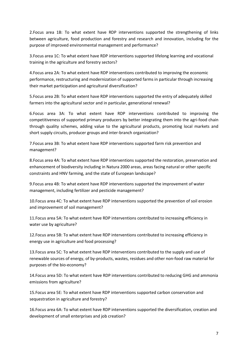2.Focus area 1B: To what extent have RDP interventions supported the strengthening of links between agriculture, food production and forestry and research and innovation, including for the purpose of improved environmental management and performance?

3.Focus area 1C: To what extent have RDP interventions supported lifelong learning and vocational training in the agriculture and forestry sectors?

4.Focus area 2A: To what extent have RDP interventions contributed to improving the economic performance, restructuring and modernization of supported farms in particular through increasing their market participation and agricultural diversification?

5.Focus area 2B: To what extent have RDP interventions supported the entry of adequately skilled farmers into the agricultural sector and in particular, generational renewal?

6.Focus area 3A: To what extent have RDP interventions contributed to improving the competitiveness of supported primary producers by better integrating them into the agri-food chain through quality schemes, adding value to the agricultural products, promoting local markets and short supply circuits, producer groups and inter-branch organization?

7.Focus area 3B: To what extent have RDP interventions supported farm risk prevention and management?

8.Focus area 4A: To what extent have RDP interventions supported the restoration, preservation and enhancement of biodiversity including in Natura 2000 areas, areas facing natural or other specific constraints and HNV farming, and the state of European landscape?

9.Focus area 4B: To what extent have RDP interventions supported the improvement of water management, including fertilizer and pesticide management?

10.Focus area 4C: To what extent have RDP interventions supported the prevention of soil erosion and improvement of soil management?

11.Focus area 5A: To what extent have RDP interventions contributed to increasing efficiency in water use by agriculture?

12.Focus area 5B: To what extent have RDP interventions contributed to increasing efficiency in energy use in agriculture and food processing?

13.Focus area 5C: To what extent have RDP interventions contributed to the supply and use of renewable sources of energy, of by-products, wastes, residues and other non-food raw material for purposes of the bio-economy?

14.Focus area 5D: To what extent have RDP interventions contributed to reducing GHG and ammonia emissions from agriculture?

15.Focus area 5E: To what extent have RDP interventions supported carbon conservation and sequestration in agriculture and forestry?

16.Focus area 6A: To what extent have RDP interventions supported the diversification, creation and development of small enterprises and job creation?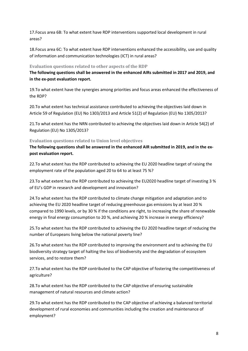17.Focus area 6B: To what extent have RDP interventions supported local development in rural areas?

18.Focus area 6C: To what extent have RDP interventions enhanced the accessibility, use and quality of information and communication technologies (ICT) in rural areas?

#### <span id="page-7-0"></span>**Evaluation questions related to other aspects of the RDP**

**The following questions shall be answered in the enhanced AIRs submitted in 2017 and 2019, and in the ex-post evaluation report.** 

19.To what extent have the synergies among priorities and focus areas enhanced the effectiveness of the RDP?

20.To what extent has technical assistance contributed to achieving the objectives laid down in Article 59 of Regulation (EU) No 1303/2013 and Article 51(2) of Regulation (EU) No 1305/2013?

21.To what extent has the NRN contributed to achieving the objectives laid down in Article 54(2) of Regulation (EU) No 1305/2013?

#### <span id="page-7-1"></span>**Evaluation questions related to Union level objectives**

**The following questions shall be answered in the enhanced AIR submitted in 2019, and in the expost evaluation report.** 

22.To what extent has the RDP contributed to achieving the EU 2020 headline target of raising the employment rate of the population aged 20 to 64 to at least 75 %?

23.To what extent has the RDP contributed to achieving the EU2020 headline target of investing 3 % of EU's GDP in research and development and innovation?

24.To what extent has the RDP contributed to climate change mitigation and adaptation and to achieving the EU 2020 headline target of reducing greenhouse gas emissions by at least 20 % compared to 1990 levels, or by 30 % if the conditions are right, to increasing the share of renewable energy in final energy consumption to 20 %, and achieving 20 % increase in energy efficiency?

25.To what extent has the RDP contributed to achieving the EU 2020 headline target of reducing the number of Europeans living below the national poverty line?

26.To what extent has the RDP contributed to improving the environment and to achieving the EU biodiversity strategy target of halting the loss of biodiversity and the degradation of ecosystem services, and to restore them?

27.To what extent has the RDP contributed to the CAP objective of fostering the competitiveness of agriculture?

28.To what extent has the RDP contributed to the CAP objective of ensuring sustainable management of natural resources and climate action?

29.To what extent has the RDP contributed to the CAP objective of achieving a balanced territorial development of rural economies and communities including the creation and maintenance of employment?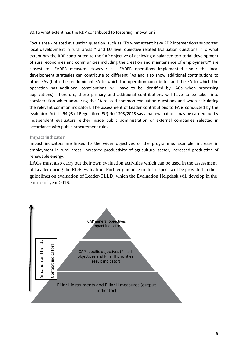#### 30.To what extent has the RDP contributed to fostering innovation?

Focus area - related evaluation question such as "To what extent have RDP interventions supported local development in rural areas?" and EU level objective related Evaluation questions "To what extent has the RDP contributed to the CAP objective of achieving a balanced territorial development of rural economies and communities including the creation and maintenance of employment?" are closest to LEADER measure. However as LEADER operations implemented under the local development strategies can contribute to different FAs and also show additional contributions to other FAs (both the predominant FA to which the operation contributes and the FA to which the operation has additional contributions, will have to be identified by LAGs when processing applications). Therefore, these primary and additional contributions will have to be taken into consideration when answering the FA-related common evaluation questions and when calculating the relevant common indicators. The assessment of Leader contributions to FA is conducted by the evaluator. Article 54 §3 of Regulation (EU) No 1303/2013 says that evaluations may be carried out by independent evaluators, either inside public administration or external companies selected in accordance with public procurement rules.

#### <span id="page-8-0"></span>**Impact indicator**

Impact indicators are linked to the wider objectives of the programme. Example: increase in employment in rural areas, increased productivity of agricultural sector, increased production of renewable energy.

LAGs must also carry out their own evaluation activities which can be used in the assessment of Leader during the RDP evaluation. Further guidance in this respect will be provided in the guidelines on evaluation of Leader/CLLD, which the Evaluation Helpdesk will develop in the course of year 2016.

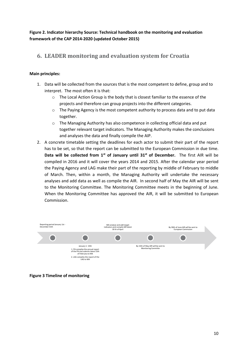**Figure 2. Indicator hierarchy Source: Technical handbook on the monitoring and evaluation framework of the CAP 2014-2020 (updated October 2015)**

# <span id="page-9-0"></span>**6. LEADER monitoring and evaluation system for Croatia**

#### **Main principles:**

- 1. Data will be collected from the sources that is the most competent to define, group and to interpret. The most often it is that:
	- o The Local Action Group is the body that is closest familiar to the essence of the projects and therefore can group projects into the different categories.
	- o The Paying Agency is the most competent authority to process data and to put data together.
	- $\circ$  The Managing Authority has also competence in collecting official data and put together relevant target indicators. The Managing Authority makes the conclusions and analyses the data and finally compile the AIP.
- 2. A concrete timetable setting the deadlines for each actor to submit their part of the report has to be set, so that the report can be submitted to the European Commission in due time. **Data will be collected from 1st of January until 31st of December.** The first AIR will be compiled in 2016 and it will cover the years 2014 and 2015. After the calendar year period the Paying Agency and LAG make their part of the reporting by middle of February to middle of March. Then, within a month, the Managing Authority will undertake the necessary analyses and add data as well as compile the AIR. In second half of May the AIR will be sent to the Monitoring Committee. The Monitoring Committee meets in the beginning of June. When the Monitoring Committee has approved the AIR, it will be submitted to European Commission.



**Figure 3 Timeline of monitoring**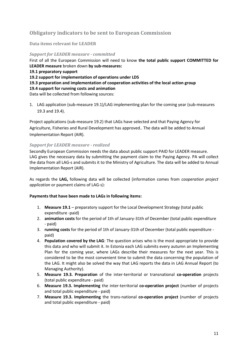# <span id="page-10-0"></span>**Obligatory indicators to be sent to European Commission**

<span id="page-10-1"></span>**Data items relevant for LEADER** 

*Support for LEADER measure - committed* First of all the European Commission will need to know **the total public support COMMITTED for LEADER measure** broken down **by sub-measures: 19.1 preparatory support 19.2 support for implementation of operations under LDS 19.3 preparation and implementation of cooperation activities of the local action group 19.4 support for running costs and animation** Data will be collected from following sources:

1. LAG application (sub-measure 19.1)/LAG implementing plan for the coming year (sub-measures 19.3 and 19.4).

Project applications (sub-measure 19.2) that LAGs have selected and that Paying Agency for Agriculture, Fisheries and Rural Development has approved.. The data will be added to Annual Implementation Report (AIR).

#### *Support for LEADER measure - realized*

Secondly European Commission needs the data about public support PAID for LEADER measure. LAG gives the necessary data by submitting the payment claim to the Paying Agency. PA will collect the data from all LAG-s and submits it to the Ministry of Agriculture. The data will be added to Annual Implementation Report (AIR).

As regards the **LAG,** following data will be collected (information comes from *cooperation project application* or payment claims of LAG-s):

#### **Payments that have been made to LAGs in following items:**

- 1. **Measure 19.1** preparatory support for the Local Development Strategy (total public expenditure -paid)
- 2. **animation costs** for the period of 1th of January-31th of December (total public expenditure - paid)
- 3. **running costs** for the period of 1th of January-31th of December (total public expenditure paid)
- 4. **Population covered by the LAG**: The question arises who is the most appropriate to provide this data and who will submit it. In Estonia each LAG submits every autumn an Implementing Plan for the coming year, where LAGs describe their measures for the next year. This is considered to be the most convenient time to submit the data concerning the population of the LAG. It might also be solved the way that LAG reports the data in LAG Annual Report (to Managing Authority).
- 5. **Measure 19.3. Preparation** of the inter-territorial or transnational **co-operation** projects (total public expenditure - paid)
- 6. **Measure 19.3. Implementing** the inter-territorial **co-operation project** (number of projects and total public expenditure - paid)
- 7. **Measure 19.3. Implementing** the trans-national **co-operation project** (number of projects and total public expenditure - paid)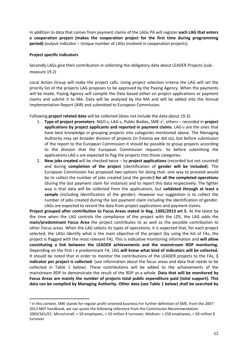In addition to data that comes from payment claims of the LAGs PA will register **each LAG that enters a cooperation project (makes the cooperation project for the first time during programming period)** (output indicator – Unique number of LAGs involved in cooperation projects).

#### **Project specific indicators**

 $\overline{\phantom{a}}$ 

Secondly LAGs give their contribution in collecting the obligatory data about LEADER Projects (submeasure 19.2)

Local Action Group will make the project calls. Using project selection criteria the LAG will set the priority list of the projects LAG proposes to be approved by the Paying Agency. When the payments will be made, Paying Agency will compile the Data based either on project applications or payment claims and submit it to MA. Data will be analysed by the MA and will be added into the Annual Implementation Report (AIR) and submitted to European Commission.

Following **project related data** will be collected (does not include the data about 19.3):

- 1. **Type of project promoters**: NGO-s, LAG-s, Public Bodies, SME-s<sup>1</sup>, others recorded in **project applications by project applicants and reported in payment claims**. LAG-s are the ones that have best knowledge in grouping projects into categories mentioned above. The Managing Authority may set broader division of projects (in Estonia we did so), but before submission of the report to the European Commission it should be possible to group projects according to the division that the European Commission requests. So before submitting the applications LAG-s are expected to flag the projects into those categories.
- 2. **New jobs created** will be checked twice by **project applications** (recorded but not counted) and during **completion of the project** (identification of **gender will be included**). The European Commission has proposed two options for doing that: one way to proceed would be to collect the number of jobs created (and the gender**) for all the completed operations**  (during the last payment claim for instance) and to report this data respectively. The lighter way is that data will be collected from the applications, but **validated through at least a sample** (including identification of the gender). However our suggestion is to collect the number of jobs created during the last payment claim including the identification of gender. LAGs are expected to record the data from project applications and payment claims.

**Project grouped after contribution to Focus Areas stated in Reg. 1305/2013 art 5.** At the latest by the time when the LAG controls the compliance of the project with the LDS, the LAG adds the **main/predominant Focus Area** the project contributes to as well as the possible contribution to other Focus areas. When the LAG selects its types of operations, it is expected that, for each project selected, the LAGs identify what is the main objective of the project (by using the list of FAs, the project is flagged with the most relevant FA). This is indicative monitoring information and **will allow constituting a link between the LEADER achievements and the mainstream RDP monitoring.**  Depending on the first I e predominant FA, LAG **will know what kind of indicators will be collected.** It should be noted that in order to monitor the contributions of the LEADER projects to the FAs, **1 indicator per project is collected**. (see information about the focus areas and data that needs to be collected in Table 1 below). These contributions will be added to the achievements of the mainstream RDP to demonstrate the result of the RDP as a whole. **Data that will be monitored by Focus Areas are mainly the number of projects total public expenditure paid (total support). This data can be compiled by Managing Authority. Other data (see Table 1 below) shall be searched by** 

 $<sup>1</sup>$  In this context, SME stands for regular profit oriented business.For further definition of SME, from the 2007-</sup> 2013 MEF handbook, we can quote the following reference from the Commission Recommendation 2003/361/EC: Micro/small: < 50 employees, < 10 million € turnover; Medium: < 250 employees, < 50 million € turnover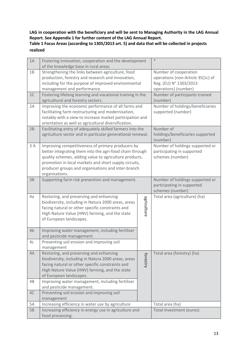**LAG in cooperation with the beneficiary and will be sent to Managing Authority in the LAG Annual Report. See Appendix 1 for further content of the LAG Annual Report. Table 1 Focus Areas (according to 1305/2013 art. 5) and data that will be collected in projects realized** 

| 1A | Fostering innovation, cooperation and the development<br>of the knowledge base in rural areas                                                                                                                                                                                                            |             | $\ast$                                                                                                       |
|----|----------------------------------------------------------------------------------------------------------------------------------------------------------------------------------------------------------------------------------------------------------------------------------------------------------|-------------|--------------------------------------------------------------------------------------------------------------|
| 1B | Strengthening the links between agriculture, food<br>production, forestry and research and innovation,<br>including for the purpose of improved environmental<br>management and performance.                                                                                                             |             | Number of cooperation<br>operations (non-Article 35(1c) of<br>Reg. (EU) N° 1303/2013<br>operations) (number) |
| 1C | Fostering lifelong learning and vocational training in the<br>agricultural and forestry sectors.                                                                                                                                                                                                         |             | Number of participants trained<br>(number)                                                                   |
| 2A | Improving the economic performance of all farms and<br>facilitating farm restructuring and modernisation,<br>notably with a view to increase market participation and<br>orientation as well as agricultural diversification.                                                                            |             | Number of holdings/beneficiaries<br>supported (number)                                                       |
| 2B | Facilitating entry of adequately skilled farmers into the<br>agriculture sector and in particular generational renewal.                                                                                                                                                                                  |             | Number of<br>holdings/beneficiaries supported<br>(number)                                                    |
| 3A | Improving competitiveness of primary producers by<br>better integrating them into the agri-food chain through<br>quality schemes, adding value to agriculture products,<br>promotion in local markets and short supply circuits,<br>producer groups and organisations and inter-branch<br>organisations. |             | Number of holdings supported or<br>participating in supported<br>schemes (number)                            |
| 3B | Supporting farm risk prevention and management.                                                                                                                                                                                                                                                          |             | Number of holdings supported or<br>participating in supported<br>schemes (number)                            |
| 4a | Restoring, and preserving and enhancing<br>biodiversity, including in Natura 2000 areas, areas<br>facing natural or other specific constraints and<br>High Nature Value (HNV) farming, and the state<br>of European landscapes.                                                                          | agriculture | Total area (agriculture) (ha)                                                                                |
| 4b | Improving water management, including fertiliser<br>and pesticide management.                                                                                                                                                                                                                            |             |                                                                                                              |
| 4c | Preventing soil erosion and improving soil<br>management                                                                                                                                                                                                                                                 |             |                                                                                                              |
| 4A | Restoring, and preserving and enhancing<br>biodiversity, including in Natura 2000 areas, areas<br>facing natural or other specific constraints and<br>High Nature Value (HNV) farming, and the state<br>of European landscapes.                                                                          | forestry    | Total area (forestry) (ha)                                                                                   |
| 4B | Improving water management, including fertiliser<br>and pesticide management.                                                                                                                                                                                                                            |             |                                                                                                              |
| 4C | Preventing soil erosion and improving soil<br>management                                                                                                                                                                                                                                                 |             |                                                                                                              |
| 5A | Increasing efficiency in water use by agriculture                                                                                                                                                                                                                                                        |             | Total area (ha)                                                                                              |
| 5B | Increasing efficiency in energy use in agriculture and<br>food processing.                                                                                                                                                                                                                               |             | Total investment (euros)                                                                                     |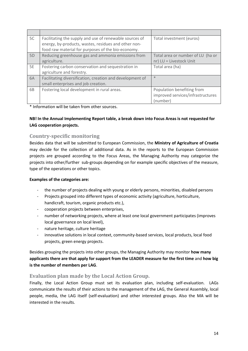| 5C             | Facilitating the supply and use of renewable sources of<br>energy, by-products, wastes, residues and other non- | Total investment (euros)          |
|----------------|-----------------------------------------------------------------------------------------------------------------|-----------------------------------|
|                | food raw material for purposes of the bio-economy.                                                              |                                   |
| 5 <sub>D</sub> | Reducing greenhouse gas and ammonia emissions from                                                              | Total area or number of LU (ha or |
|                | agriculture.                                                                                                    | nr) LU = Livestock Unit           |
| 5E             | Fostering carbon conservation and sequestration in                                                              | Total area (ha)                   |
|                | agriculture and forestry.                                                                                       |                                   |
| 6A             | Facilitating diversification, creation and development of                                                       | $*$                               |
|                | small enterprises and job creation.                                                                             |                                   |
| 6B             | Fostering local development in rural areas.                                                                     | Population benefiting from        |
|                |                                                                                                                 | improved services/infrastructures |
|                |                                                                                                                 | (number)                          |

\* Information will be taken from other sources.

### **NB! In the Annual Implementing Report table, a break down into Focus Areas is not requested for LAG cooperation projects.**

# <span id="page-13-0"></span>**Country-specific monitoring**

Besides data that will be submitted to European Commission, the **Ministry of Agriculture of Croatia** may decide for the collection of additional data. As in the reports to the European Commission projects are grouped according to the Focus Areas, the Managing Authority may categorize the projects into other/further sub-groups depending on for example specific objectives of the measure, type of the operations or other topics.

## **Examples of the categories are:**

- the number of projects dealing with young or elderly persons, minorities, disabled persons
- Projects grouped into different types of economic activity (agriculture, horticulture, handicraft, tourism, organic products etc.),
- cooperation projects between enterprises,
- number of networking projects, where at least one local government participates (improves local governance on local level),
- nature heritage, culture heritage
- innovative solutions in local context, community-based services, local products, local food projects, green energy projects.

Besides grouping the projects into other groups, the Managing Authority may monitor **how many applicants there are that apply for support from the LEADER measure for the first time** and **how big is the number of members per LAG**.

## <span id="page-13-1"></span>**Evaluation plan made by the Local Action Group.**

Finally, the Local Action Group must set its evaluation plan, including self-evaluation. LAGs communicate the results of their actions to the management of the LAG, the General Assembly, local people, media, the LAG itself (self-evaluation) and other interested groups. Also the MA will be interested in the results.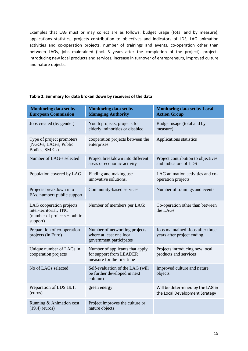Examples that LAG must or may collect are as follows: budget usage (total and by measure), applications statistics, projects contribution to objectives and indicators of LDS, LAG animation activities and co-operation projects, number of trainings and events, co-operation other than between LAGs, jobs maintained (incl. 3 years after the completion of the project), projects introducing new local products and services, increase in turnover of entrepreneurs, improved culture and nature objects.

| <b>Monitoring data set by</b><br><b>European Commission</b>                                      | <b>Monitoring data set by</b><br><b>Managing Authority</b>                               | <b>Monitoring data set by Local</b><br><b>Action Group</b>         |
|--------------------------------------------------------------------------------------------------|------------------------------------------------------------------------------------------|--------------------------------------------------------------------|
| Jobs created (by gender)                                                                         | Youth projects, projects for<br>elderly, minorities or disabled                          | Budget usage (total and by<br>measure)                             |
| Type of project promoters<br>(NGO-s, LAG-s, Public<br>Bodies, SME-s)                             | cooperation projects between the<br>enterprises                                          | Applications statistics                                            |
| Number of LAG-s selected                                                                         | Project breakdown into different<br>areas of economic activity                           | Project contribution to objectives<br>and indicators of LDS        |
| Population covered by LAG                                                                        | Finding and making use<br>innovative solutions.                                          | LAG animation activities and co-<br>operation projects             |
| Projects breakdown into<br>FAs, number+public support                                            | Community-based services                                                                 | Number of trainings and events                                     |
| LAG cooperation projects<br>inter-territorial, TNC<br>(number of projects $+$ public<br>support) | Number of members per LAG;                                                               | Co-operation other than between<br>the LAGs                        |
| Preparation of co-operation<br>projects (in Euro)                                                | Number of networking projects<br>where at least one local<br>government participates     | Jobs maintained. Jobs after three<br>years after project ending.   |
| Unique number of LAGs in<br>cooperation projects                                                 | Number of applicants that apply<br>for support from LEADER<br>measure for the first time | Projects introducing new local<br>products and services            |
| No of LAGs selected                                                                              | Self-evaluation of the LAG (will<br>be further developed in next<br>column)              | Improved culture and nature<br>objects                             |
| Preparation of LDS 19.1.<br>(euros)                                                              | green energy                                                                             | Will be determined by the LAG in<br>the Local Development Strategy |
| Running & Animation cost<br>$(19.4)$ (euros)                                                     | Project improves the culture or<br>nature objects                                        |                                                                    |

#### **Table 2. Summary for data broken down by receivers of the data**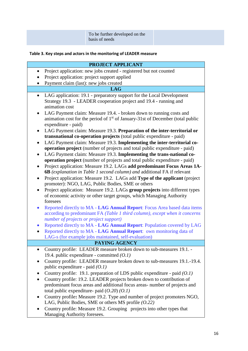|--|--|

# **Table 3. Key steps and actors in the monitoring of LEADER measure**

|           | <b>PROJECT APPLICANT</b>                                                                                                                                                                                                                                                                       |
|-----------|------------------------------------------------------------------------------------------------------------------------------------------------------------------------------------------------------------------------------------------------------------------------------------------------|
| $\bullet$ | Project application: new jobs created - registered but not counted                                                                                                                                                                                                                             |
|           | Project application: project support applied                                                                                                                                                                                                                                                   |
|           | Payment claim (last): new jobs created                                                                                                                                                                                                                                                         |
|           | <b>LAG</b>                                                                                                                                                                                                                                                                                     |
| $\bullet$ | LAG application: 19.1 - preparatory support for the Local Development                                                                                                                                                                                                                          |
|           | Strategy 19.3 - LEADER cooperation project and 19.4 - running and                                                                                                                                                                                                                              |
|           | animation cost                                                                                                                                                                                                                                                                                 |
|           | LAG Payment claim: Measure 19.4. - broken down to running costs and                                                                                                                                                                                                                            |
|           | animation cost for the period of 1 <sup>st</sup> of January-31st of December (total public                                                                                                                                                                                                     |
|           | expenditure - paid)                                                                                                                                                                                                                                                                            |
|           | LAG Payment claim: Measure 19.3. Preparation of the inter-territorial or<br>transnational co-operation projects (total public expenditure - paid)                                                                                                                                              |
|           | LAG Payment claim: Measure 19.3. Implementing the inter-territorial co-                                                                                                                                                                                                                        |
|           | operation project (number of projects and total public expenditure - paid)                                                                                                                                                                                                                     |
| ٠         | LAG Payment claim: Measure 19.3. Implementing the trans-national co-                                                                                                                                                                                                                           |
|           | operation project (number of projects and total public expenditure - paid)                                                                                                                                                                                                                     |
|           | Project application: Measure 19.2. LAGs add predominant Focus Areas 1A-                                                                                                                                                                                                                        |
|           | 6B (explanation in Table 1 second column) and additional FA if relevant                                                                                                                                                                                                                        |
|           | Project application: Measure 19.2. LAGs add Type of the applicant (project                                                                                                                                                                                                                     |
|           | promoter): NGO, LAG, Public Bodies, SME or others                                                                                                                                                                                                                                              |
|           | Project application: Measure 19.2. LAGs group projects into different types                                                                                                                                                                                                                    |
|           | of economic activity or other target groups, which Managing Authority                                                                                                                                                                                                                          |
|           | foresees                                                                                                                                                                                                                                                                                       |
|           | Reported directly to MA - LAG Annual Report: Focus Area based data items                                                                                                                                                                                                                       |
|           | according to predominant FA (Table 1 third column), except when it concerns<br>number of projects or project support)                                                                                                                                                                          |
| $\bullet$ | Reported directly to MA - LAG Annual Report: Population covered by LAG                                                                                                                                                                                                                         |
| $\bullet$ | Reported directly to MA - LAG Annual Report: own monitoring data of                                                                                                                                                                                                                            |
|           | LAG-s (for example jobs maintained, self-evaluation)                                                                                                                                                                                                                                           |
|           | PAYING AGENCY                                                                                                                                                                                                                                                                                  |
|           | Country profile: LEADER measure broken down to sub-measures 19.1. -                                                                                                                                                                                                                            |
|           | 19.4. public expenditure - committed $(0.1)$                                                                                                                                                                                                                                                   |
|           | Country profile: LEADER measure broken down to sub-measures 19.1.-19.4.                                                                                                                                                                                                                        |
|           | public expenditure - paid $(0.1)$                                                                                                                                                                                                                                                              |
|           | Country profile: 19.1. preparation of LDS public expenditure - paid $(0.1)$                                                                                                                                                                                                                    |
| $\bullet$ | Country profile: 19.2. LEADER projects broken down to contribution of                                                                                                                                                                                                                          |
|           | predominant focus areas and additional focus areas-number of projects and                                                                                                                                                                                                                      |
|           |                                                                                                                                                                                                                                                                                                |
| $\bullet$ |                                                                                                                                                                                                                                                                                                |
|           |                                                                                                                                                                                                                                                                                                |
|           |                                                                                                                                                                                                                                                                                                |
|           | total public expenditure- paid $(0.20)$ $(0.1)$<br>Country profile: Measure 19.2. Type and number of project promoters NGO,<br>LAG, Public Bodies, SME or others MS profile $(0.22)$<br>Country profile: Measure 19.2. Grouping projects into other types that<br>Managing Authority foresees. |